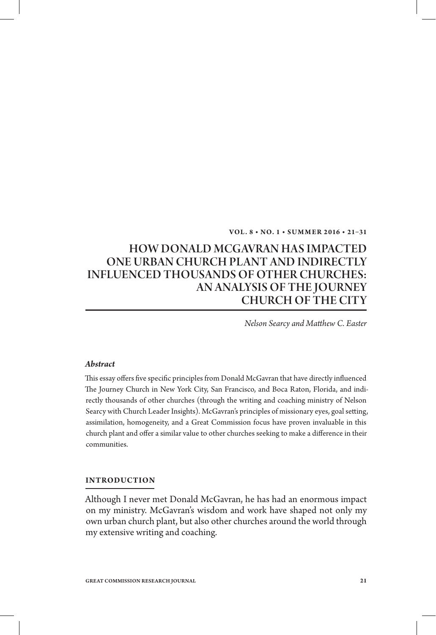### **Vol . 8 • No. 1 • S u m m er 2 016 • 21–31**

# HOW DONALD MCGAVRAN HAS IMPACTED ONE URBAN CHURCH PLANT AND INDIRECTLY INFLUENCED THOUSANDS OF OTHER CHURCHES: An Analysis of The Journey Church of the City

*Nelson Searcy and Matthew C. Easter*

#### *Abstract*

This essay offers five specific principles from Donald McGavran that have directly influenced The Journey Church in New York City, San Francisco, and Boca Raton, Florida, and indirectly thousands of other churches (through the writing and coaching ministry of Nelson Searcy with Church Leader Insights). McGavran's principles of missionary eyes, goal setting, assimilation, homogeneity, and a Great Commission focus have proven invaluable in this church plant and offer a similar value to other churches seeking to make a difference in their communities.

## **Introduction**

Although I never met Donald McGavran, he has had an enormous impact on my ministry. McGavran's wisdom and work have shaped not only my own urban church plant, but also other churches around the world through my extensive writing and coaching.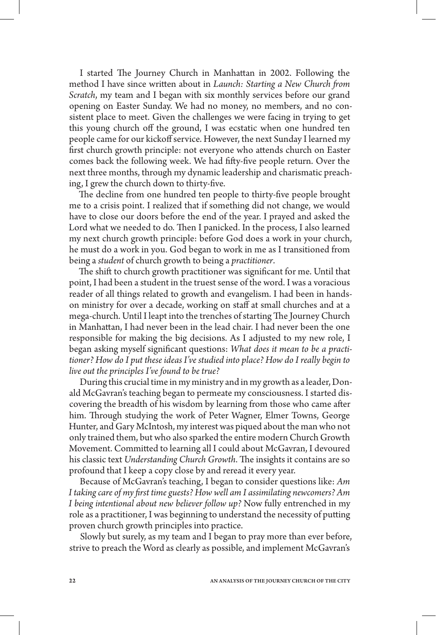I started The Journey Church in Manhattan in 2002. Following the method I have since written about in *Launch: Starting a New Church from Scratch*, my team and I began with six monthly services before our grand opening on Easter Sunday. We had no money, no members, and no consistent place to meet. Given the challenges we were facing in trying to get this young church off the ground, I was ecstatic when one hundred ten people came for our kickoff service. However, the next Sunday I learned my first church growth principle: not everyone who attends church on Easter comes back the following week. We had fifty-five people return. Over the next three months, through my dynamic leadership and charismatic preaching, I grew the church down to thirty-five.

The decline from one hundred ten people to thirty-five people brought me to a crisis point. I realized that if something did not change, we would have to close our doors before the end of the year. I prayed and asked the Lord what we needed to do. Then I panicked. In the process, I also learned my next church growth principle: before God does a work in your church, he must do a work in you. God began to work in me as I transitioned from being a *student* of church growth to being a *practitioner*.

The shift to church growth practitioner was significant for me. Until that point, I had been a student in the truest sense of the word. I was a voracious reader of all things related to growth and evangelism. I had been in handson ministry for over a decade, working on staff at small churches and at a mega-church. Until I leapt into the trenches of starting The Journey Church in Manhattan, I had never been in the lead chair. I had never been the one responsible for making the big decisions. As I adjusted to my new role, I began asking myself significant questions: *What does it mean to be a practitioner? How do I put these ideas I've studied into place? How do I really begin to live out the principles I've found to be true?*

During this crucial time in my ministry and in my growth as a leader, Donald McGavran's teaching began to permeate my consciousness. I started discovering the breadth of his wisdom by learning from those who came after him. Through studying the work of Peter Wagner, Elmer Towns, George Hunter, and Gary McIntosh, my interest was piqued about the man who not only trained them, but who also sparked the entire modern Church Growth Movement. Committed to learning all I could about McGavran, I devoured his classic text *Understanding Church Growth*. The insights it contains are so profound that I keep a copy close by and reread it every year.

Because of McGavran's teaching, I began to consider questions like: *Am I taking care of my first time guests? How well am I assimilating newcomers? Am I being intentional about new believer follow up?* Now fully entrenched in my role as a practitioner, I was beginning to understand the necessity of putting proven church growth principles into practice.

Slowly but surely, as my team and I began to pray more than ever before, strive to preach the Word as clearly as possible, and implement McGavran's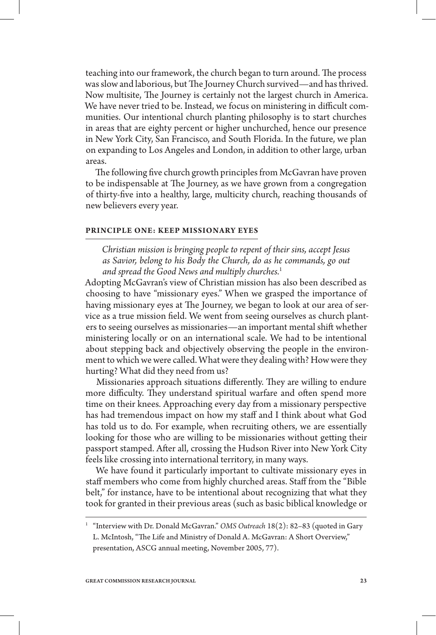teaching into our framework, the church began to turn around. The process was slow and laborious, but The Journey Church survived—and has thrived. Now multisite, The Journey is certainly not the largest church in America. We have never tried to be. Instead, we focus on ministering in difficult communities. Our intentional church planting philosophy is to start churches in areas that are eighty percent or higher unchurched, hence our presence in New York City, San Francisco, and South Florida. In the future, we plan on expanding to Los Angeles and London, in addition to other large, urban areas.

The following five church growth principles from McGavran have proven to be indispensable at The Journey, as we have grown from a congregation of thirty-five into a healthy, large, multicity church, reaching thousands of new believers every year.

## **Principle One: Keep Missionary Eyes**

*Christian mission is bringing people to repent of their sins, accept Jesus as Savior, belong to his Body the Church, do as he commands, go out and spread the Good News and multiply churches.*<sup>1</sup>

Adopting McGavran's view of Christian mission has also been described as choosing to have "missionary eyes." When we grasped the importance of having missionary eyes at The Journey, we began to look at our area of service as a true mission field. We went from seeing ourselves as church planters to seeing ourselves as missionaries—an important mental shift whether ministering locally or on an international scale. We had to be intentional about stepping back and objectively observing the people in the environment to which we were called. What were they dealing with? How were they hurting? What did they need from us?

Missionaries approach situations differently. They are willing to endure more difficulty. They understand spiritual warfare and often spend more time on their knees. Approaching every day from a missionary perspective has had tremendous impact on how my staff and I think about what God has told us to do. For example, when recruiting others, we are essentially looking for those who are willing to be missionaries without getting their passport stamped. After all, crossing the Hudson River into New York City feels like crossing into international territory, in many ways.

We have found it particularly important to cultivate missionary eyes in staff members who come from highly churched areas. Staff from the "Bible belt," for instance, have to be intentional about recognizing that what they took for granted in their previous areas (such as basic biblical knowledge or

<sup>&</sup>lt;sup>1</sup> "Interview with Dr. Donald McGavran." *OMS Outreach* 18(2): 82-83 (quoted in Gary L. McIntosh, "The Life and Ministry of Donald A. McGavran: A Short Overview," presentation, ASCG annual meeting, November 2005, 77).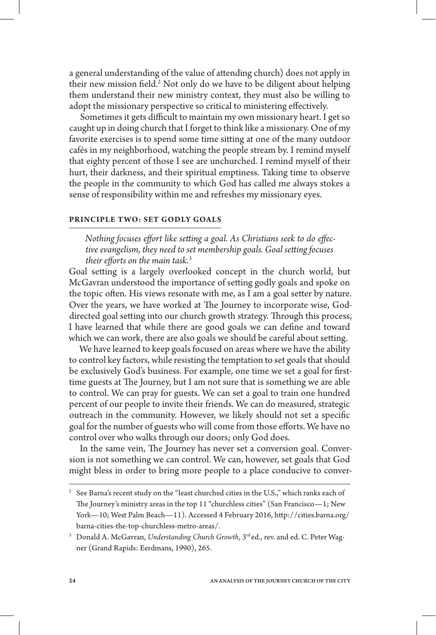a general understanding of the value of attending church) does not apply in their new mission field.<sup>2</sup> Not only do we have to be diligent about helping them understand their new ministry context, they must also be willing to adopt the missionary perspective so critical to ministering effectively.

Sometimes it gets difficult to maintain my own missionary heart. I get so caught up in doing church that I forget to think like a missionary. One of my favorite exercises is to spend some time sitting at one of the many outdoor cafés in my neighborhood, watching the people stream by. I remind myself that eighty percent of those I see are unchurched. I remind myself of their hurt, their darkness, and their spiritual emptiness. Taking time to observe the people in the community to which God has called me always stokes a sense of responsibility within me and refreshes my missionary eyes.

## **Principle Two: Set Godly Goals**

*Nothing focuses effort like setting a goal. As Christians seek to do effective evangelism, they need to set membership goals. Goal setting focuses their efforts on the main task.*<sup>3</sup>

Goal setting is a largely overlooked concept in the church world, but McGavran understood the importance of setting godly goals and spoke on the topic often. His views resonate with me, as I am a goal setter by nature. Over the years, we have worked at The Journey to incorporate wise, Goddirected goal setting into our church growth strategy. Through this process, I have learned that while there are good goals we can define and toward which we can work, there are also goals we should be careful about setting.

We have learned to keep goals focused on areas where we have the ability to control key factors, while resisting the temptation to set goals that should be exclusively God's business. For example, one time we set a goal for firsttime guests at The Journey, but I am not sure that is something we are able to control. We can pray for guests. We can set a goal to train one hundred percent of our people to invite their friends. We can do measured, strategic outreach in the community. However, we likely should not set a specific goal for the number of guests who will come from those efforts. We have no control over who walks through our doors; only God does.

In the same vein, The Journey has never set a conversion goal. Conversion is not something we can control. We can, however, set goals that God might bless in order to bring more people to a place conducive to conver-

 $2$  See Barna's recent study on the "least churched cities in the U.S.," which ranks each of The Journey's ministry areas in the top 11 "churchless cities" (San Francisco—1; New York—10; West Palm Beach—11). Accessed 4 February 2016, http://cities.barna.org/ barna-cities-the-top-churchless-metro-areas/.

<sup>&</sup>lt;sup>3</sup> Donald A. McGavran, *Understanding Church Growth*, 3<sup>rd</sup> ed., rev. and ed. C. Peter Wagner (Grand Rapids: Eerdmans, 1990), 265.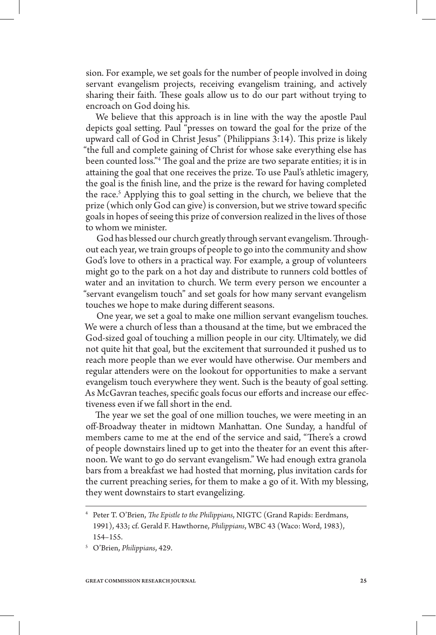sion. For example, we set goals for the number of people involved in doing servant evangelism projects, receiving evangelism training, and actively sharing their faith. These goals allow us to do our part without trying to encroach on God doing his.

We believe that this approach is in line with the way the apostle Paul depicts goal setting. Paul "presses on toward the goal for the prize of the upward call of God in Christ Jesus" (Philippians 3:14). This prize is likely "the full and complete gaining of Christ for whose sake everything else has been counted loss."4 The goal and the prize are two separate entities; it is in attaining the goal that one receives the prize. To use Paul's athletic imagery, the goal is the finish line, and the prize is the reward for having completed the race.<sup>5</sup> Applying this to goal setting in the church, we believe that the prize (which only God can give) is conversion, but we strive toward specific goals in hopes of seeing this prize of conversion realized in the lives of those to whom we minister.

God has blessed our church greatly through servant evangelism. Throughout each year, we train groups of people to go into the community and show God's love to others in a practical way. For example, a group of volunteers might go to the park on a hot day and distribute to runners cold bottles of water and an invitation to church. We term every person we encounter a "servant evangelism touch" and set goals for how many servant evangelism touches we hope to make during different seasons.

One year, we set a goal to make one million servant evangelism touches. We were a church of less than a thousand at the time, but we embraced the God-sized goal of touching a million people in our city. Ultimately, we did not quite hit that goal, but the excitement that surrounded it pushed us to reach more people than we ever would have otherwise. Our members and regular attenders were on the lookout for opportunities to make a servant evangelism touch everywhere they went. Such is the beauty of goal setting. As McGavran teaches, specific goals focus our efforts and increase our effectiveness even if we fall short in the end.

The year we set the goal of one million touches, we were meeting in an off-Broadway theater in midtown Manhattan. One Sunday, a handful of members came to me at the end of the service and said, "There's a crowd of people downstairs lined up to get into the theater for an event this afternoon. We want to go do servant evangelism." We had enough extra granola bars from a breakfast we had hosted that morning, plus invitation cards for the current preaching series, for them to make a go of it. With my blessing, they went downstairs to start evangelizing.

<sup>4</sup> Peter T. O'Brien, *The Epistle to the Philippians*, NIGTC (Grand Rapids: Eerdmans, 1991), 433; cf. Gerald F. Hawthorne, *Philippians*, WBC 43 (Waco: Word, 1983), 154–155.

<sup>5</sup> O'Brien, *Philippians*, 429.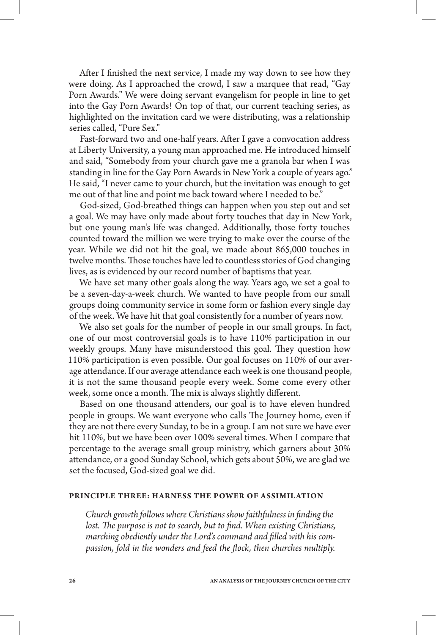After I finished the next service, I made my way down to see how they were doing. As I approached the crowd, I saw a marquee that read, "Gay Porn Awards." We were doing servant evangelism for people in line to get into the Gay Porn Awards! On top of that, our current teaching series, as highlighted on the invitation card we were distributing, was a relationship series called, "Pure Sex."

Fast-forward two and one-half years. After I gave a convocation address at Liberty University, a young man approached me. He introduced himself and said, "Somebody from your church gave me a granola bar when I was standing in line for the Gay Porn Awards in New York a couple of years ago." He said, "I never came to your church, but the invitation was enough to get me out of that line and point me back toward where I needed to be."

God-sized, God-breathed things can happen when you step out and set a goal. We may have only made about forty touches that day in New York, but one young man's life was changed. Additionally, those forty touches counted toward the million we were trying to make over the course of the year. While we did not hit the goal, we made about 865,000 touches in twelve months. Those touches have led to countless stories of God changing lives, as is evidenced by our record number of baptisms that year.

We have set many other goals along the way. Years ago, we set a goal to be a seven-day-a-week church. We wanted to have people from our small groups doing community service in some form or fashion every single day of the week. We have hit that goal consistently for a number of years now.

We also set goals for the number of people in our small groups. In fact, one of our most controversial goals is to have 110% participation in our weekly groups. Many have misunderstood this goal. They question how 110% participation is even possible. Our goal focuses on 110% of our average attendance. If our average attendance each week is one thousand people, it is not the same thousand people every week. Some come every other week, some once a month. The mix is always slightly different.

Based on one thousand attenders, our goal is to have eleven hundred people in groups. We want everyone who calls The Journey home, even if they are not there every Sunday, to be in a group. I am not sure we have ever hit 110%, but we have been over 100% several times. When I compare that percentage to the average small group ministry, which garners about 30% attendance, or a good Sunday School, which gets about 50%, we are glad we set the focused, God-sized goal we did.

#### **Principle Three: Harness the Power of Assimil ation**

*Church growth follows where Christians show faithfulness in finding the*  lost. The purpose is not to search, but to find. When existing Christians, *marching obediently under the Lord's command and filled with his compassion, fold in the wonders and feed the flock, then churches multiply.*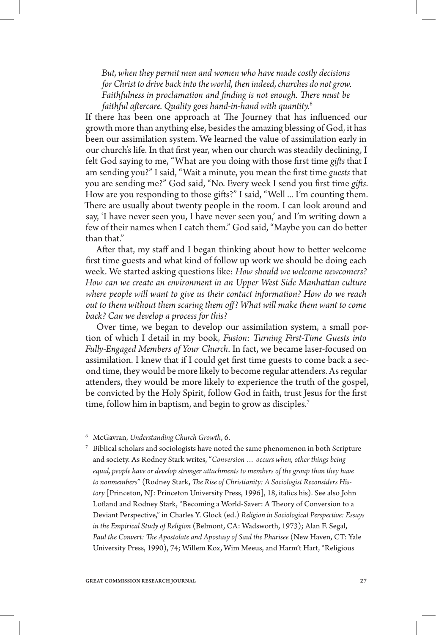*But, when they permit men and women who have made costly decisions for Christ to drive back into the world, then indeed, churches do not grow. Faithfulness in proclamation and finding is not enough. There must be faithful aftercare. Quality goes hand-in-hand with quantity.*<sup>6</sup>

If there has been one approach at The Journey that has influenced our growth more than anything else, besides the amazing blessing of God, it has been our assimilation system. We learned the value of assimilation early in our church's life. In that first year, when our church was steadily declining, I felt God saying to me, "What are you doing with those first time *gifts* that I am sending you?" I said, "Wait a minute, you mean the first time *guests* that you are sending me?" God said, "No. Every week I send you first time *gifts*. How are you responding to those gifts?" I said, "Well ... I'm counting them. There are usually about twenty people in the room. I can look around and say, 'I have never seen you, I have never seen you,' and I'm writing down a few of their names when I catch them." God said, "Maybe you can do better than that."

After that, my staff and I began thinking about how to better welcome first time guests and what kind of follow up work we should be doing each week. We started asking questions like: *How should we welcome newcomers? How can we create an environment in an Upper West Side Manhattan culture where people will want to give us their contact information? How do we reach out to them without them scaring them off? What will make them want to come back? Can we develop a process for this?*

Over time, we began to develop our assimilation system, a small portion of which I detail in my book, *Fusion: Turning First-Time Guests into Fully-Engaged Members of Your Church*. In fact, we became laser-focused on assimilation. I knew that if I could get first time guests to come back a second time, they would be more likely to become regular attenders. As regular attenders, they would be more likely to experience the truth of the gospel, be convicted by the Holy Spirit, follow God in faith, trust Jesus for the first time, follow him in baptism, and begin to grow as disciples.<sup>7</sup>

<sup>6</sup> McGavran, *Understanding Church Growth*, 6.

<sup>7</sup> Biblical scholars and sociologists have noted the same phenomenon in both Scripture and society. As Rodney Stark writes, "*Conversion … occurs when, other things being equal, people have or develop stronger attachments to members of the group than they have to nonmembers*" (Rodney Stark, *The Rise of Christianity: A Sociologist Reconsiders History* [Princeton, NJ: Princeton University Press, 1996], 18, italics his). See also John Lofland and Rodney Stark, "Becoming a World-Saver: A Theory of Conversion to a Deviant Perspective," in Charles Y. Glock (ed.) *Religion in Sociological Perspective: Essays in the Empirical Study of Religion* (Belmont, CA: Wadsworth, 1973); Alan F. Segal, *Paul the Convert: The Apostolate and Apostasy of Saul the Pharisee* (New Haven, CT: Yale University Press, 1990), 74; Willem Kox, Wim Meeus, and Harm't Hart, "Religious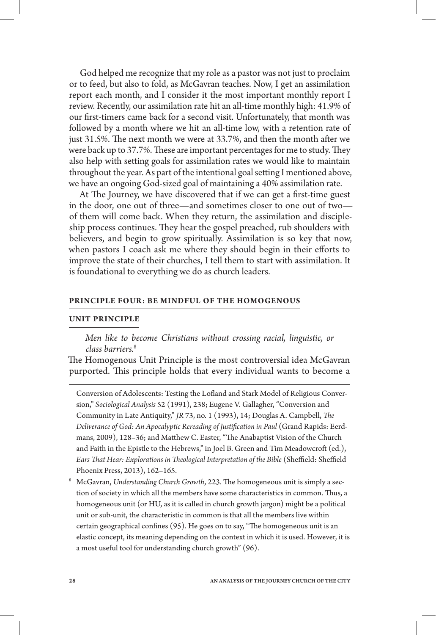God helped me recognize that my role as a pastor was not just to proclaim or to feed, but also to fold, as McGavran teaches. Now, I get an assimilation report each month, and I consider it the most important monthly report I review. Recently, our assimilation rate hit an all-time monthly high: 41.9% of our first-timers came back for a second visit. Unfortunately, that month was followed by a month where we hit an all-time low, with a retention rate of just 31.5%. The next month we were at 33.7%, and then the month after we were back up to 37.7%. These are important percentages for me to study. They also help with setting goals for assimilation rates we would like to maintain throughout the year. As part of the intentional goal setting I mentioned above, we have an ongoing God-sized goal of maintaining a 40% assimilation rate.

At The Journey, we have discovered that if we can get a first-time guest in the door, one out of three—and sometimes closer to one out of two of them will come back. When they return, the assimilation and discipleship process continues. They hear the gospel preached, rub shoulders with believers, and begin to grow spiritually. Assimilation is so key that now, when pastors I coach ask me where they should begin in their efforts to improve the state of their churches, I tell them to start with assimilation. It is foundational to everything we do as church leaders.

#### **Principle Four: Be Mindful of the Homogenous**

## **Unit Principle**

*Men like to become Christians without crossing racial, linguistic, or class barriers.*<sup>8</sup>

The Homogenous Unit Principle is the most controversial idea McGavran purported. This principle holds that every individual wants to become a

Conversion of Adolescents: Testing the Lofland and Stark Model of Religious Conversion," *Sociological Analysis* 52 (1991), 238; Eugene V. Gallagher, "Conversion and Community in Late Antiquity," *JR* 73, no. 1 (1993), 14; Douglas A. Campbell, *The Deliverance of God: An Apocalyptic Rereading of Justification in Paul* (Grand Rapids: Eerdmans, 2009), 128–36; and Matthew C. Easter, "The Anabaptist Vision of the Church and Faith in the Epistle to the Hebrews," in Joel B. Green and Tim Meadowcroft (ed.), *Ears That Hear: Explorations in Theological Interpretation of the Bible* (Sheffield: Sheffield Phoenix Press, 2013), 162–165.

<sup>8</sup> McGavran, *Understanding Church Growth*, 223. The homogeneous unit is simply a section of society in which all the members have some characteristics in common. Thus, a homogeneous unit (or HU, as it is called in church growth jargon) might be a political unit or sub-unit, the characteristic in common is that all the members live within certain geographical confines (95). He goes on to say, "The homogeneous unit is an elastic concept, its meaning depending on the context in which it is used. However, it is a most useful tool for understanding church growth" (96).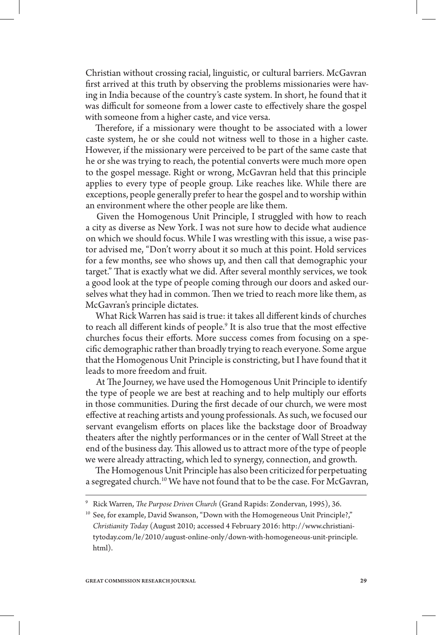Christian without crossing racial, linguistic, or cultural barriers. McGavran first arrived at this truth by observing the problems missionaries were having in India because of the country's caste system. In short, he found that it was difficult for someone from a lower caste to effectively share the gospel with someone from a higher caste, and vice versa.

Therefore, if a missionary were thought to be associated with a lower caste system, he or she could not witness well to those in a higher caste. However, if the missionary were perceived to be part of the same caste that he or she was trying to reach, the potential converts were much more open to the gospel message. Right or wrong, McGavran held that this principle applies to every type of people group. Like reaches like. While there are exceptions, people generally prefer to hear the gospel and to worship within an environment where the other people are like them.

Given the Homogenous Unit Principle, I struggled with how to reach a city as diverse as New York. I was not sure how to decide what audience on which we should focus. While I was wrestling with this issue, a wise pastor advised me, "Don't worry about it so much at this point. Hold services for a few months, see who shows up, and then call that demographic your target." That is exactly what we did. After several monthly services, we took a good look at the type of people coming through our doors and asked ourselves what they had in common. Then we tried to reach more like them, as McGavran's principle dictates.

What Rick Warren has said is true: it takes all different kinds of churches to reach all different kinds of people.9 It is also true that the most effective churches focus their efforts. More success comes from focusing on a specific demographic rather than broadly trying to reach everyone. Some argue that the Homogenous Unit Principle is constricting, but I have found that it leads to more freedom and fruit.

At The Journey, we have used the Homogenous Unit Principle to identify the type of people we are best at reaching and to help multiply our efforts in those communities. During the first decade of our church, we were most effective at reaching artists and young professionals. As such, we focused our servant evangelism efforts on places like the backstage door of Broadway theaters after the nightly performances or in the center of Wall Street at the end of the business day. This allowed us to attract more of the type of people we were already attracting, which led to synergy, connection, and growth.

The Homogenous Unit Principle has also been criticized for perpetuating a segregated church.<sup>10</sup> We have not found that to be the case. For McGavran,

<sup>9</sup> Rick Warren, *The Purpose Driven Church* (Grand Rapids: Zondervan, 1995), 36.

<sup>&</sup>lt;sup>10</sup> See, for example, David Swanson, "Down with the Homogeneous Unit Principle?," *Christianity Today* (August 2010; accessed 4 February 2016: http://www.christianitytoday.com/le/2010/august-online-only/down-with-homogeneous-unit-principle. html).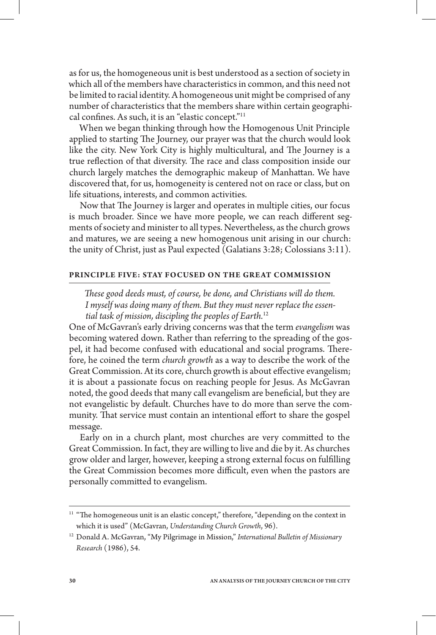as for us, the homogeneous unit is best understood as a section of society in which all of the members have characteristics in common, and this need not be limited to racial identity. A homogeneous unit might be comprised of any number of characteristics that the members share within certain geographical confines. As such, it is an "elastic concept."11

When we began thinking through how the Homogenous Unit Principle applied to starting The Journey, our prayer was that the church would look like the city. New York City is highly multicultural, and The Journey is a true reflection of that diversity. The race and class composition inside our church largely matches the demographic makeup of Manhattan. We have discovered that, for us, homogeneity is centered not on race or class, but on life situations, interests, and common activities.

Now that The Journey is larger and operates in multiple cities, our focus is much broader. Since we have more people, we can reach different segments of society and minister to all types. Nevertheless, as the church grows and matures, we are seeing a new homogenous unit arising in our church: the unity of Christ, just as Paul expected (Galatians 3:28; Colossians 3:11).

## **PRINCIPLE FIVE: STAY FOCUSED ON THE GREAT COMMISSION**

*These good deeds must, of course, be done, and Christians will do them. I myself was doing many of them. But they must never replace the essential task of mission, discipling the peoples of Earth.*<sup>12</sup>

One of McGavran's early driving concerns was that the term *evangelism* was becoming watered down. Rather than referring to the spreading of the gospel, it had become confused with educational and social programs. Therefore, he coined the term *church growth* as a way to describe the work of the Great Commission. At its core, church growth is about effective evangelism; it is about a passionate focus on reaching people for Jesus. As McGavran noted, the good deeds that many call evangelism are beneficial, but they are not evangelistic by default. Churches have to do more than serve the community. That service must contain an intentional effort to share the gospel message.

Early on in a church plant, most churches are very committed to the Great Commission. In fact, they are willing to live and die by it. As churches grow older and larger, however, keeping a strong external focus on fulfilling the Great Commission becomes more difficult, even when the pastors are personally committed to evangelism.

 $^{11}$  "The homogeneous unit is an elastic concept," therefore, "depending on the context in which it is used" (McGavran, *Understanding Church Growth*, 96).

<sup>12</sup> Donald A. McGavran, "My Pilgrimage in Mission," *International Bulletin of Missionary Research* (1986), 54.